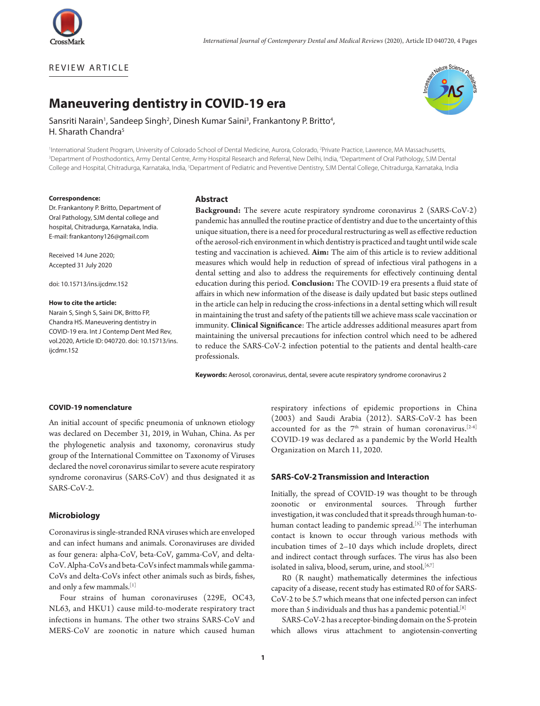

REVIEW ARTICLE

# vature Science

# **Maneuvering dentistry in COVID-19 era**

Sansriti Narain<sup>1</sup>, Sandeep Singh<sup>2</sup>, Dinesh Kumar Saini<sup>3</sup>, Frankantony P. Britto<sup>4</sup>, H. Sharath Chandra<sup>5</sup>

<sup>1</sup>International Student Program, University of Colorado School of Dental Medicine, Aurora, Colorado, <sup>2</sup>Private Practice, Lawrence, MA Massachusetts, 3 Department of Prosthodontics, Army Dental Centre, Army Hospital Research and Referral, New Delhi, India, 4 Department of Oral Pathology, SJM Dental College and Hospital, Chitradurga, Karnataka, India, <sup>s</sup>Department of Pediatric and Preventive Dentistry, SJM Dental College, Chitradurga, Karnataka, India

#### **Correspondence:**

Dr. Frankantony P. Britto, Department of Oral Pathology, SJM dental college and hospital, Chitradurga, Karnataka, India. E-mail: frankantony126@gmail.com

Received 14 June 2020; Accepted 31 July 2020

doi: 10.15713/ins.ijcdmr.152

#### **How to cite the article:**

Narain S, Singh S, Saini DK, Britto FP, Chandra HS. Maneuvering dentistry in COVID-19 era. Int J Contemp Dent Med Rev, vol.2020, Article ID: 040720. doi: 10.15713/ins. iicdmr.152

#### **Abstract**

**Background:** The severe acute respiratory syndrome coronavirus 2 (SARS-CoV-2) pandemic has annulled the routine practice of dentistry and due to the uncertainty of this unique situation, there is a need for procedural restructuring as well as effective reduction of the aerosol-rich environment in which dentistry is practiced and taught until wide scale testing and vaccination is achieved. **Aim:** The aim of this article is to review additional measures which would help in reduction of spread of infectious viral pathogens in a dental setting and also to address the requirements for effectively continuing dental education during this period. **Conclusion:** The COVID-19 era presents a fluid state of affairs in which new information of the disease is daily updated but basic steps outlined in the article can help in reducing the cross-infections in a dental setting which will result in maintaining the trust and safety of the patients till we achieve mass scale vaccination or immunity. **Clinical Significance**: The article addresses additional measures apart from maintaining the universal precautions for infection control which need to be adhered to reduce the SARS-CoV-2 infection potential to the patients and dental health-care professionals.

**Keywords:** Aerosol, coronavirus, dental, severe acute respiratory syndrome coronavirus 2

#### **COVID-19 nomenclature**

An initial account of specific pneumonia of unknown etiology was declared on December 31, 2019, in Wuhan, China. As per the phylogenetic analysis and taxonomy, coronavirus study group of the International Committee on Taxonomy of Viruses declared the novel coronavirus similar to severe acute respiratory syndrome coronavirus (SARS-CoV) and thus designated it as SARS-CoV-2.

#### **Microbiology**

Coronavirus is single-stranded RNA viruses which are enveloped and can infect humans and animals. Coronaviruses are divided as four genera: alpha-CoV, beta-CoV, gamma-CoV, and delta-CoV. Alpha-CoVs and beta-CoVs infect mammals while gamma-CoVs and delta-CoVs infect other animals such as birds, fishes, and only a few mammals.<sup>[1]</sup>

Four strains of human coronaviruses (229E, OC43, NL63, and HKU1) cause mild-to-moderate respiratory tract infections in humans. The other two strains SARS-CoV and MERS-CoV are zoonotic in nature which caused human

respiratory infections of epidemic proportions in China (2003) and Saudi Arabia (2012). SARS-CoV-2 has been accounted for as the  $7<sup>th</sup>$  strain of human coronavirus.<sup>[2-4]</sup> COVID-19 was declared as a pandemic by the World Health Organization on March 11, 2020.

#### **SARS-CoV-2 Transmission and Interaction**

Initially, the spread of COVID-19 was thought to be through zoonotic or environmental sources. Through further investigation, it was concluded that it spreads through human-tohuman contact leading to pandemic spread.<sup>[5]</sup> The interhuman contact is known to occur through various methods with incubation times of 2–10 days which include droplets, direct and indirect contact through surfaces. The virus has also been isolated in saliva, blood, serum, urine, and stool.<sup>[6,7]</sup>

R0 (R naught) mathematically determines the infectious capacity of a disease, recent study has estimated R0 of for SARS-CoV-2 to be 5.7 which means that one infected person can infect more than 5 individuals and thus has a pandemic potential.[8]

SARS-CoV-2 has a receptor-binding domain on the S-protein which allows virus attachment to angiotensin-converting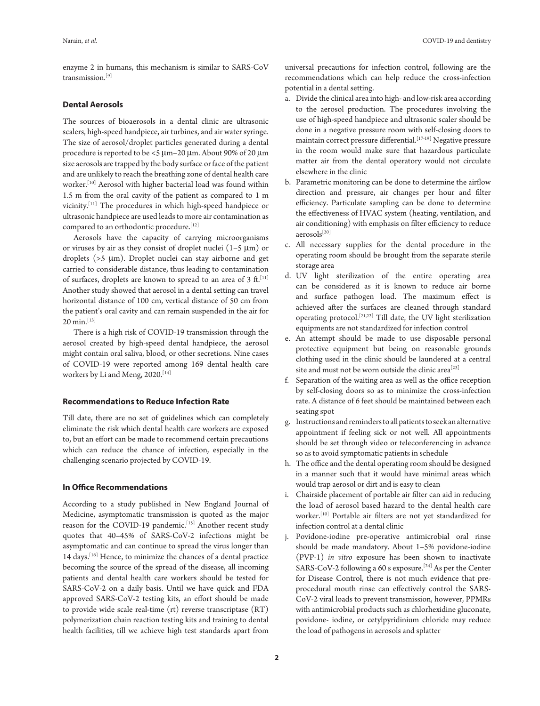enzyme 2 in humans, this mechanism is similar to SARS-CoV transmission.[9]

### **Dental Aerosols**

The sources of bioaerosols in a dental clinic are ultrasonic scalers, high-speed handpiece, air turbines, and air water syringe. The size of aerosol/droplet particles generated during a dental procedure is reported to be <5 µm–20 µm. About 90% of 20 µm size aerosols are trapped by the body surface or face of the patient and are unlikely to reach the breathing zone of dental health care worker.[10] Aerosol with higher bacterial load was found within 1.5 m from the oral cavity of the patient as compared to 1 m vicinity.[11] The procedures in which high-speed handpiece or ultrasonic handpiece are used leads to more air contamination as compared to an orthodontic procedure.<sup>[12]</sup>

Aerosols have the capacity of carrying microorganisms or viruses by air as they consist of droplet nuclei  $(1-5 \mu m)$  or droplets (>5 µm). Droplet nuclei can stay airborne and get carried to considerable distance, thus leading to contamination of surfaces, droplets are known to spread to an area of 3 ft.<sup>[11]</sup> Another study showed that aerosol in a dental setting can travel horizontal distance of 100 cm, vertical distance of 50 cm from the patient's oral cavity and can remain suspended in the air for 20 min.<sup>[13]</sup>

There is a high risk of COVID-19 transmission through the aerosol created by high-speed dental handpiece, the aerosol might contain oral saliva, blood, or other secretions. Nine cases of COVID-19 were reported among 169 dental health care workers by Li and Meng, 2020.<sup>[14]</sup>

#### **Recommendations to Reduce Infection Rate**

Till date, there are no set of guidelines which can completely eliminate the risk which dental health care workers are exposed to, but an effort can be made to recommend certain precautions which can reduce the chance of infection, especially in the challenging scenario projected by COVID-19.

### **In Office Recommendations**

According to a study published in New England Journal of Medicine, asymptomatic transmission is quoted as the major reason for the COVID-19 pandemic.<sup>[15]</sup> Another recent study quotes that 40–45% of SARS-CoV-2 infections might be asymptomatic and can continue to spread the virus longer than 14 days.[16] Hence, to minimize the chances of a dental practice becoming the source of the spread of the disease, all incoming patients and dental health care workers should be tested for SARS-CoV-2 on a daily basis. Until we have quick and FDA approved SARS-CoV-2 testing kits, an effort should be made to provide wide scale real-time (rt) reverse transcriptase (RT) polymerization chain reaction testing kits and training to dental health facilities, till we achieve high test standards apart from universal precautions for infection control, following are the recommendations which can help reduce the cross-infection potential in a dental setting.

- a. Divide the clinical area into high- and low-risk area according to the aerosol production. The procedures involving the use of high-speed handpiece and ultrasonic scaler should be done in a negative pressure room with self-closing doors to maintain correct pressure differential.[17-19] Negative pressure in the room would make sure that hazardous particulate matter air from the dental operatory would not circulate elsewhere in the clinic
- b. Parametric monitoring can be done to determine the airflow direction and pressure, air changes per hour and filter efficiency. Particulate sampling can be done to determine the effectiveness of HVAC system (heating, ventilation, and air conditioning) with emphasis on filter efficiency to reduce aerosols[20]
- c. All necessary supplies for the dental procedure in the operating room should be brought from the separate sterile storage area
- d. UV light sterilization of the entire operating area can be considered as it is known to reduce air borne and surface pathogen load. The maximum effect is achieved after the surfaces are cleaned through standard operating protocol.[21,22] Till date, the UV light sterilization equipments are not standardized for infection control
- e. An attempt should be made to use disposable personal protective equipment but being on reasonable grounds clothing used in the clinic should be laundered at a central site and must not be worn outside the clinic area<sup>[23]</sup>
- f. Separation of the waiting area as well as the office reception by self-closing doors so as to minimize the cross-infection rate. A distance of 6 feet should be maintained between each seating spot
- g. Instructions and reminders to all patients to seek an alternative appointment if feeling sick or not well. All appointments should be set through video or teleconferencing in advance so as to avoid symptomatic patients in schedule
- h. The office and the dental operating room should be designed in a manner such that it would have minimal areas which would trap aerosol or dirt and is easy to clean
- i. Chairside placement of portable air filter can aid in reducing the load of aerosol based hazard to the dental health care worker.[10] Portable air filters are not yet standardized for infection control at a dental clinic
- j. Povidone-iodine pre-operative antimicrobial oral rinse should be made mandatory. About 1–5% povidone-iodine (PVP-1) *in vitro* exposure has been shown to inactivate SARS-CoV-2 following a 60 s exposure.[24] As per the Center for Disease Control, there is not much evidence that preprocedural mouth rinse can effectively control the SARS-CoV-2 viral loads to prevent transmission, however, PPMRs with antimicrobial products such as chlorhexidine gluconate, povidone- iodine, or cetylpyridinium chloride may reduce the load of pathogens in aerosols and splatter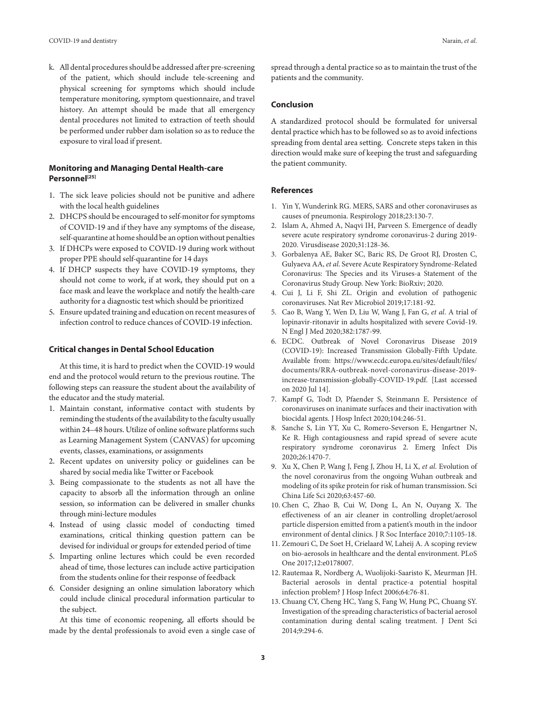k. All dental procedures should be addressed after pre-screening of the patient, which should include tele-screening and physical screening for symptoms which should include temperature monitoring, symptom questionnaire, and travel history. An attempt should be made that all emergency dental procedures not limited to extraction of teeth should be performed under rubber dam isolation so as to reduce the exposure to viral load if present.

## **Monitoring and Managing Dental Health-care Personnel[25]**

- 1. The sick leave policies should not be punitive and adhere with the local health guidelines
- 2. DHCPS should be encouraged to self-monitor for symptoms of COVID-19 and if they have any symptoms of the disease, self-quarantine at home should be an option without penalties
- 3. If DHCPs were exposed to COVID-19 during work without proper PPE should self-quarantine for 14 days
- 4. If DHCP suspects they have COVID-19 symptoms, they should not come to work, if at work, they should put on a face mask and leave the workplace and notify the health-care authority for a diagnostic test which should be prioritized
- 5. Ensure updated training and education on recent measures of infection control to reduce chances of COVID-19 infection.

#### **Critical changes in Dental School Education**

At this time, it is hard to predict when the COVID-19 would end and the protocol would return to the previous routine. The following steps can reassure the student about the availability of the educator and the study material.

- 1. Maintain constant, informative contact with students by reminding the students of the availability to the faculty usually within 24–48 hours. Utilize of online software platforms such as Learning Management System (CANVAS) for upcoming events, classes, examinations, or assignments
- 2. Recent updates on university policy or guidelines can be shared by social media like Twitter or Facebook
- 3. Being compassionate to the students as not all have the capacity to absorb all the information through an online session, so information can be delivered in smaller chunks through mini-lecture modules
- 4. Instead of using classic model of conducting timed examinations, critical thinking question pattern can be devised for individual or groups for extended period of time
- 5. Imparting online lectures which could be even recorded ahead of time, those lectures can include active participation from the students online for their response of feedback
- 6. Consider designing an online simulation laboratory which could include clinical procedural information particular to the subject.

At this time of economic reopening, all efforts should be made by the dental professionals to avoid even a single case of

spread through a dental practice so as to maintain the trust of the patients and the community.

#### **Conclusion**

A standardized protocol should be formulated for universal dental practice which has to be followed so as to avoid infections spreading from dental area setting. Concrete steps taken in this direction would make sure of keeping the trust and safeguarding the patient community.

#### **References**

- 1. Yin Y, Wunderink RG. MERS, SARS and other coronaviruses as causes of pneumonia. Respirology 2018;23:130-7.
- 2. Islam A, Ahmed A, Naqvi IH, Parveen S. Emergence of deadly severe acute respiratory syndrome coronavirus-2 during 2019- 2020. Virusdisease 2020;31:128-36.
- 3. Gorbalenya AE, Baker SC, Baric RS, De Groot RJ, Drosten C, Gulyaeva AA, *et al*. Severe Acute Respiratory Syndrome-Related Coronavirus: The Species and its Viruses-a Statement of the Coronavirus Study Group. New York: BioRxiv; 2020.
- 4. Cui J, Li F, Shi ZL. Origin and evolution of pathogenic coronaviruses. Nat Rev Microbiol 2019;17:181-92.
- 5. Cao B, Wang Y, Wen D, Liu W, Wang J, Fan G, *et al*. A trial of lopinavir-ritonavir in adults hospitalized with severe Covid-19. N Engl J Med 2020;382:1787-99.
- 6. ECDC. Outbreak of Novel Coronavirus Disease 2019 (COVID-19): Increased Transmission Globally-Fifth Update. Available from: https://www.ecdc.europa.eu/sites/default/files/ documents/RRA-outbreak-novel-coronavirus-disease-2019 increase-transmission-globally-COVID-19.pdf. [Last accessed on 2020 Jul 14].
- 7. Kampf G, Todt D, Pfaender S, Steinmann E. Persistence of coronaviruses on inanimate surfaces and their inactivation with biocidal agents. J Hosp Infect 2020;104:246-51.
- 8. Sanche S, Lin YT, Xu C, Romero-Severson E, Hengartner N, Ke R. High contagiousness and rapid spread of severe acute respiratory syndrome coronavirus 2. Emerg Infect Dis 2020;26:1470-7.
- 9. Xu X, Chen P, Wang J, Feng J, Zhou H, Li X, *et al*. Evolution of the novel coronavirus from the ongoing Wuhan outbreak and modeling of its spike protein for risk of human transmission. Sci China Life Sci 2020;63:457-60.
- 10. Chen C, Zhao B, Cui W, Dong L, An N, Ouyang X. The effectiveness of an air cleaner in controlling droplet/aerosol particle dispersion emitted from a patient's mouth in the indoor environment of dental clinics. J R Soc Interface 2010;7:1105-18.
- 11. Zemouri C, De Soet H, Crielaard W, Laheij A. A scoping review on bio-aerosols in healthcare and the dental environment. PLoS One 2017;12:e0178007.
- 12. Rautemaa R, Nordberg A, Wuolijoki-Saaristo K, Meurman JH. Bacterial aerosols in dental practice-a potential hospital infection problem? J Hosp Infect 2006;64:76-81.
- 13. Chuang CY, Cheng HC, Yang S, Fang W, Hung PC, Chuang SY. Investigation of the spreading characteristics of bacterial aerosol contamination during dental scaling treatment. J Dent Sci 2014;9:294-6.